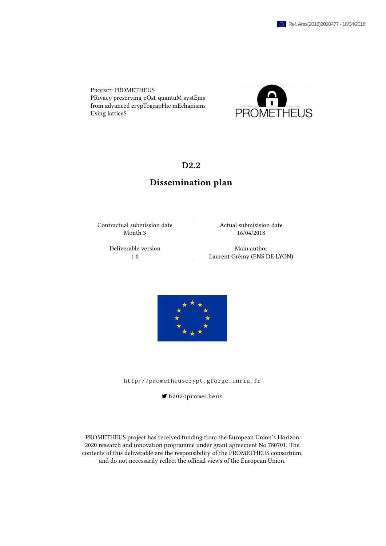Project PROMETHEUS PRivacy preserving pOst-quantuM systEms from advanced crypTograpHic mEchanisms Using latticeS



# D2.2

# Dissemination plan

Contractual submission date  $\vert$  Actual submisision date Month 3 16/04/2018

Deliverable version **Main author** 1.0 Laurent Grémy (ENS DE LYON)



<http://prometheuscrypt.gforge.inria.fr>

[h2020prometheus](https://twitter.com/h2020prometheus)

PROMETHEUS project has received funding from the European Union's Horizon 2020 research and innovation programme under grant agreement No 780701. The contents of this deliverable are the responsibility of the PROMETHEUS consortium, and do not necessarily reflect the official views of the European Union.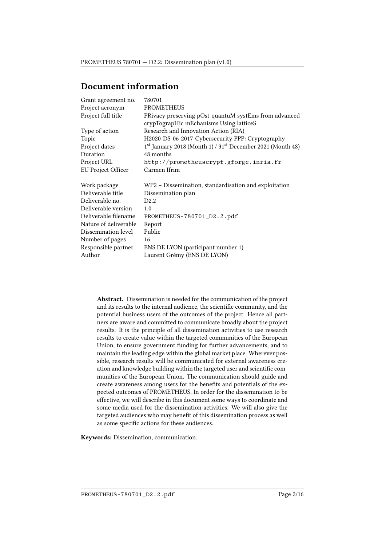# Document information

| Grant agreement no.   | 780701                                                     |
|-----------------------|------------------------------------------------------------|
| Project acronym       | <b>PROMETHEUS</b>                                          |
| Project full title    | PRivacy preserving pOst-quantuM systEms from advanced      |
|                       | crypTograpHic mEchanisms Using latticeS                    |
| Type of action        | Research and Innovation Action (RIA)                       |
| Topic                 | H2020-DS-06-2017-Cybersecurity PPP: Cryptography           |
| Project dates         | 1st January 2018 (Month 1) / 31st December 2021 (Month 48) |
| Duration              | 48 months                                                  |
| Project URL           | http://prometheuscrypt.gforge.inria.fr                     |
| EU Project Officer    | Carmen Ifrim                                               |
|                       |                                                            |
| Work package          | WP2 – Dissemination, standardisation and exploitation      |
| Deliverable title     | Dissemination plan                                         |
| Deliverable no.       | D2.2                                                       |
| Deliverable version   | 1.0                                                        |
| Deliverable filename  | PROMETHEUS-780701_D2.2.pdf                                 |
| Nature of deliverable | Report                                                     |
| Dissemination level   | Public                                                     |
| Number of pages       | 16                                                         |
| Responsible partner   | ENS DE LYON (participant number 1)                         |
| Author                | Laurent Grémy (ENS DE LYON)                                |
|                       |                                                            |

Abstract. Dissemination is needed for the communication of the project and its results to the internal audience, the scientific community, and the potential business users of the outcomes of the project. Hence all partners are aware and committed to communicate broadly about the project results. It is the principle of all dissemination activities to use research results to create value within the targeted communities of the European Union, to ensure government funding for further advancements, and to maintain the leading edge within the global market place. Wherever possible, research results will be communicated for external awareness creation and knowledge building within the targeted user and scientific communities of the European Union. The communication should guide and create awareness among users for the benefits and potentials of the expected outcomes of PROMETHEUS. In order for the dissemination to be effective, we will describe in this document some ways to coordinate and some media used for the dissemination activities. We will also give the targeted audiences who may benefit of this dissemination process as well as some specific actions for these audiences.

Keywords: Dissemination, communication.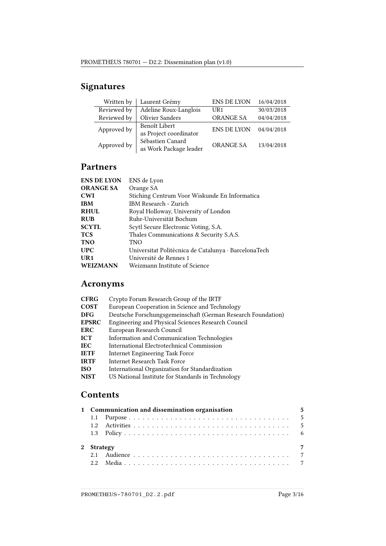# Signatures

| Written by  | Laurent Grémy          | <b>ENS DE LYON</b> | 16/04/2018 |  |
|-------------|------------------------|--------------------|------------|--|
| Reviewed by | Adeline Roux-Langlois  | UR1                | 30/03/2018 |  |
| Reviewed by | <b>Olivier Sanders</b> | <b>ORANGE SA</b>   | 04/04/2018 |  |
| Approved by | Benoît Libert          | <b>ENS DE LYON</b> | 04/04/2018 |  |
|             | as Project coordinator |                    |            |  |
| Approved by | Sébastien Canard       | <b>ORANGE SA</b>   | 13/04/2018 |  |
|             | as Work Package leader |                    |            |  |

# Partners

| <b>ENS DE LYON</b> | ENS de Lyon                                          |
|--------------------|------------------------------------------------------|
| <b>ORANGE SA</b>   | Orange SA                                            |
| <b>CWI</b>         | Stiching Centrum Voor Wiskunde En Informatica        |
| <b>IBM</b>         | <b>IBM Research - Zurich</b>                         |
| <b>RHUL</b>        | Royal Holloway, University of London                 |
| <b>RUB</b>         | Ruhr-Universität Bochum                              |
| <b>SCYTL</b>       | Scytl Secure Electronic Voting, S.A.                 |
| <b>TCS</b>         | Thales Communications & Security S.A.S.              |
| <b>TNO</b>         | <b>TNO</b>                                           |
| <b>UPC</b>         | Universitat Politècnica de Catalunya · BarcelonaTech |
| UR1                | Université de Rennes 1                               |
| <b>WEIZMANN</b>    | Weizmann Institute of Science                        |

# Acronyms

| <b>CFRG</b>  | Crypto Forum Research Group of the IRTF                      |
|--------------|--------------------------------------------------------------|
| <b>COST</b>  | European Cooperation in Science and Technology               |
| <b>DFG</b>   | Deutsche Forschungsgemeinschaft (German Research Foundation) |
| <b>EPSRC</b> | Engineering and Physical Sciences Research Council           |
| <b>ERC</b>   | European Research Council                                    |
| ICT          | Information and Communication Technologies                   |
| <b>IEC</b>   | International Electrotechnical Commission                    |
| <b>IETF</b>  | <b>Internet Engineering Task Force</b>                       |
| <b>IRTF</b>  | <b>Internet Research Task Force</b>                          |
| <b>ISO</b>   | International Organization for Standardization               |
| <b>NIST</b>  | US National Institute for Standards in Technology            |
|              |                                                              |

# **Contents**

|            | 1 Communication and dissemination organisation | 5              |
|------------|------------------------------------------------|----------------|
|            |                                                |                |
|            |                                                |                |
| 2 Strategy |                                                | $\overline{7}$ |
|            |                                                |                |
|            |                                                |                |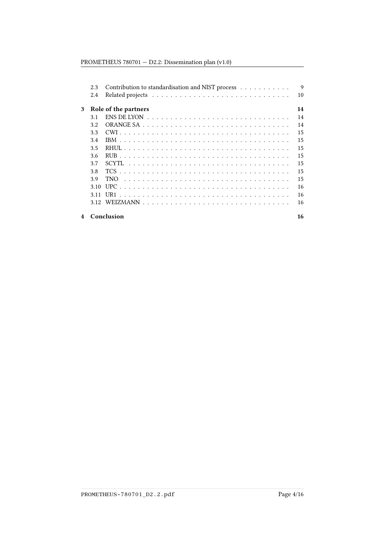## PROMETHEUS 780701 — D2.2: Dissemination plan (v1.0)

|   | 2.3   | Contribution to standardisation and NIST process                                    | $\mathbf Q$ |
|---|-------|-------------------------------------------------------------------------------------|-------------|
|   | 2.4   |                                                                                     | 10          |
| 3 |       | Role of the partners                                                                | 14          |
|   | 3.1   | ENS DE LYON $\ldots \ldots \ldots \ldots \ldots \ldots \ldots \ldots \ldots \ldots$ | 14          |
|   | 3.2   |                                                                                     | 14          |
|   | 3.3   |                                                                                     | 15          |
|   | 3.4   |                                                                                     | 15          |
|   | 3.5   |                                                                                     | 15          |
|   | 3.6   |                                                                                     | 15          |
|   | 3.7   | <b>SCYTL</b>                                                                        | 15          |
|   | 3.8   |                                                                                     | 15          |
|   | 3.9   | <b>TNO</b>                                                                          | 15          |
|   | 3.10  |                                                                                     | 16          |
|   | 3 1 1 |                                                                                     | 16          |
|   | 3.12  |                                                                                     | 16          |
| 4 |       | Conclusion                                                                          | 16          |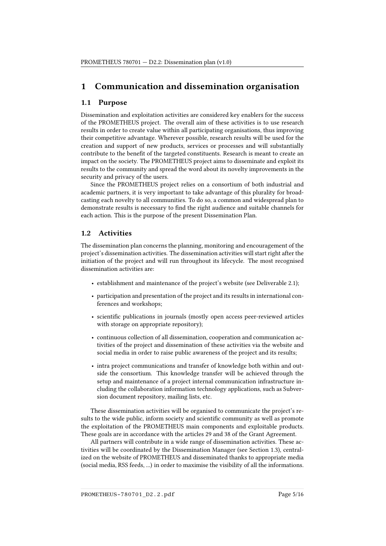# <span id="page-4-0"></span>1 Communication and dissemination organisation

### <span id="page-4-1"></span>1.1 Purpose

Dissemination and exploitation activities are considered key enablers for the success of the PROMETHEUS project. The overall aim of these activities is to use research results in order to create value within all participating organisations, thus improving their competitive advantage. Wherever possible, research results will be used for the creation and support of new products, services or processes and will substantially contribute to the benefit of the targeted constituents. Research is meant to create an impact on the society. The PROMETHEUS project aims to disseminate and exploit its results to the community and spread the word about its novelty improvements in the security and privacy of the users.

Since the PROMETHEUS project relies on a consortium of both industrial and academic partners, it is very important to take advantage of this plurality for broadcasting each novelty to all communities. To do so, a common and widespread plan to demonstrate results is necessary to find the right audience and suitable channels for each action. This is the purpose of the present Dissemination Plan.

### <span id="page-4-2"></span>1.2 Activities

The dissemination plan concerns the planning, monitoring and encouragement of the project's dissemination activities. The dissemination activities will start right after the initiation of the project and will run throughout its lifecycle. The most recognised dissemination activities are:

- establishment and maintenance of the project's website (see Deliverable 2.1);
- participation and presentation of the project and its results in international conferences and workshops;
- scientific publications in journals (mostly open access peer-reviewed articles with storage on appropriate repository);
- continuous collection of all dissemination, cooperation and communication activities of the project and dissemination of these activities via the website and social media in order to raise public awareness of the project and its results;
- intra project communications and transfer of knowledge both within and outside the consortium. This knowledge transfer will be achieved through the setup and maintenance of a project internal communication infrastructure including the collaboration information technology applications, such as Subversion document repository, mailing lists, etc.

These dissemination activities will be organised to communicate the project's results to the wide public, inform society and scientific community as well as promote the exploitation of the PROMETHEUS main components and exploitable products. These goals are in accordance with the articles 29 and 38 of the Grant Agreement.

All partners will contribute in a wide range of dissemination activities. These activities will be coordinated by the Dissemination Manager (see Section [1.3\)](#page-5-0), centralized on the website of PROMETHEUS and disseminated thanks to appropriate media (social media, RSS feeds, ...) in order to maximise the visibility of all the informations.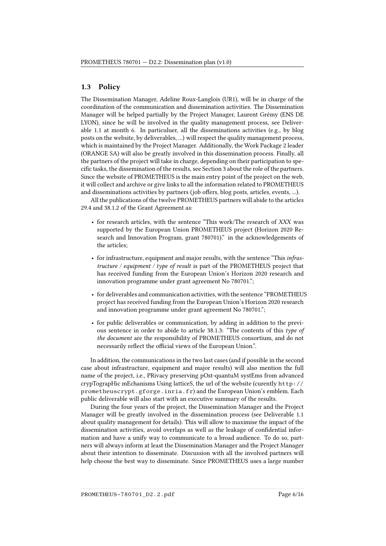#### <span id="page-5-0"></span>1.3 Policy

The Dissemination Manager, Adeline Roux-Langlois (UR1), will be in charge of the coordination of the communication and dissemination activities. The Dissemination Manager will be helped partially by the Project Manager, Laurent Grémy (ENS DE LYON), since he will be involved in the quality management process, see Deliverable 1.1 at month 6. In particuluer, all the disseminations activities (e.g., by blog posts on the website, by deliverables, ...) will respect the quality management process, which is maintained by the Project Manager. Additionally, the Work Package 2 leader (ORANGE SA) will also be greatly involved in this dissemination process. Finally, all the partners of the project will take in charge, depending on their participation to spe-cific tasks, the dissemination of the results, see Section [3](#page-13-0) about the role of the partners. Since the website of PROMETHEUS is the main entry point of the project on the web, it will collect and archive or give links to all the information related to PROMETHEUS and disseminations activities by partners (job offers, blog posts, articles, events, ...).

All the publications of the twelve PROMETHEUS partners will abide to the articles 29.4 and 38.1.2 of the Grant Agreement as:

- for research articles, with the sentence "This work/The research of XXX was supported by the European Union PROMETHEUS project (Horizon 2020 Research and Innovation Program, grant 780701)." in the acknowledgements of the articles;
- for infrastructure, equipment and major results, with the sentence "This infrastructure / equipment / type of result is part of the PROMETHEUS project that has received funding from the European Union's Horizon 2020 research and innovation programme under grant agreement No 780701.";
- for deliverables and communication activities, with the sentence "PROMETHEUS project has received funding from the European Union's Horizon 2020 research and innovation programme under grant agreement No 780701.";
- for public deliverables or communication, by adding in addition to the previous sentence in order to abide to article 38.1.3: "The contents of this type of the document are the responsibility of PROMETHEUS consortium, and do not necessarily reflect the official views of the European Union.".

In addition, the communications in the two last cases (and if possible in the second case about infrastructure, equipment and major results) will also mention the full name of the project, i.e., PRivacy preserving pOst-quantuM systEms from advanced crypTograpHic mEchanisms Using latticeS, the url of the website (curently [http://](http://prometheuscrypt.gforge.inria.fr) [prometheuscrypt.gforge.inria.fr](http://prometheuscrypt.gforge.inria.fr)) and the European Union's emblem. Each public deliverable will also start with an executive summary of the results.

During the four years of the project, the Dissemination Manager and the Project Manager will be greatly involved in the dissemination process (see Deliverable 1.1 about quality management for details). This will allow to maximise the impact of the dissemination activities, avoid overlaps as well as the leakage of confidential information and have a unify way to communicate to a broad audience. To do so, partners will always inform at least the Dissemination Manager and the Project Manager about their intention to disseminate. Discussion with all the involved partners will help choose the best way to disseminate. Since PROMETHEUS uses a large number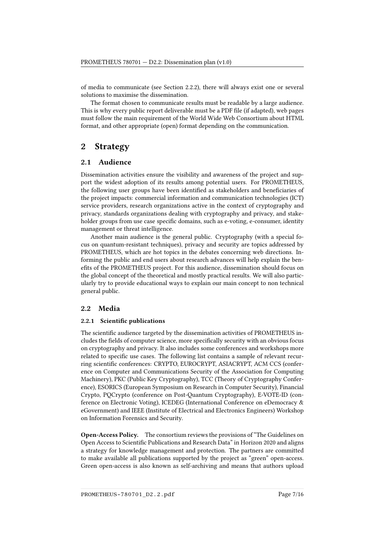of media to communicate (see Section [2.2.2\)](#page-7-0), there will always exist one or several solutions to maximise the dissemination.

The format chosen to communicate results must be readable by a large audience. This is why every public report deliverable must be a PDF file (if adapted), web pages must follow the main requirement of the World Wide Web Consortium about HTML format, and other appropriate (open) format depending on the communication.

# <span id="page-6-0"></span>2 Strategy

### <span id="page-6-1"></span>2.1 Audience

Dissemination activities ensure the visibility and awareness of the project and support the widest adoption of its results among potential users. For PROMETHEUS, the following user groups have been identified as stakeholders and beneficiaries of the project impacts: commercial information and communication technologies (ICT) service providers, research organizations active in the context of cryptography and privacy, standards organizations dealing with cryptography and privacy, and stakeholder groups from use case specific domains, such as e-voting, e-consumer, identity management or threat intelligence.

Another main audience is the general public. Cryptography (with a special focus on quantum-resistant techniques), privacy and security are topics addressed by PROMETHEUS, which are hot topics in the debates concerning web directions. Informing the public and end users about research advances will help explain the benefits of the PROMETHEUS project. For this audience, dissemination should focus on the global concept of the theoretical and mostly practical results. We will also particularly try to provide educational ways to explain our main concept to non technical general public.

### <span id="page-6-2"></span>2.2 Media

#### <span id="page-6-3"></span>2.2.1 Scientific publications

The scientific audience targeted by the dissemination activities of PROMETHEUS includes the fields of computer science, more specifically security with an obvious focus on cryptography and privacy. It also includes some conferences and workshops more related to specific use cases. The following list contains a sample of relevant recurring scientific conferences: CRYPTO, EUROCRYPT, ASIACRYPT, ACM CCS (conference on Computer and Communications Security of the Association for Computing Machinery), PKC (Public Key Cryptography), TCC (Theory of Cryptography Conference), ESORICS (European Symposium on Research in Computer Security), Financial Crypto, PQCrypto (conference on Post-Quantum Cryptography), E-VOTE-ID (conference on Electronic Voting), ICEDEG (International Conference on eDemocracy & eGovernment) and IEEE (Institute of Electrical and Electronics Engineers) Workshop on Information Forensics and Security.

Open-Access Policy. The consortium reviews the provisions of "The Guidelines on Open Access to Scientific Publications and Research Data" in Horizon 2020 and aligns a strategy for knowledge management and protection. The partners are committed to make available all publications supported by the project as "green" open-access. Green open-access is also known as self-archiving and means that authors upload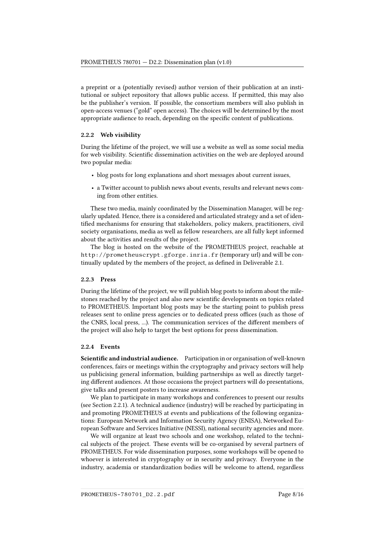a preprint or a (potentially revised) author version of their publication at an institutional or subject repository that allows public access. If permitted, this may also be the publisher's version. If possible, the consortium members will also publish in open-access venues ("gold" open access). The choices will be determined by the most appropriate audience to reach, depending on the specific content of publications.

#### <span id="page-7-0"></span>2.2.2 Web visibility

During the lifetime of the project, we will use a website as well as some social media for web visibility. Scientific dissemination activities on the web are deployed around two popular media:

- blog posts for long explanations and short messages about current issues,
- a Twitter account to publish news about events, results and relevant news coming from other entities.

These two media, mainly coordinated by the Dissemination Manager, will be regularly updated. Hence, there is a considered and articulated strategy and a set of identified mechanisms for ensuring that stakeholders, policy makers, practitioners, civil society organisations, media as well as fellow researchers, are all fully kept informed about the activities and results of the project.

The blog is hosted on the website of the PROMETHEUS project, reachable at <http://prometheuscrypt.gforge.inria.fr> (temporary url) and will be continually updated by the members of the project, as defined in Deliverable 2.1.

#### 2.2.3 Press

During the lifetime of the project, we will publish blog posts to inform about the milestones reached by the project and also new scientific developments on topics related to PROMETHEUS. Important blog posts may be the starting point to publish press releases sent to online press agencies or to dedicated press offices (such as those of the CNRS, local press, ...). The communication services of the different members of the project will also help to target the best options for press dissemination.

#### 2.2.4 Events

Scientific and industrial audience. Participation in or organisation of well-known conferences, fairs or meetings within the cryptography and privacy sectors will help us publicising general information, building partnerships as well as directly targeting different audiences. At those occasions the project partners will do presentations, give talks and present posters to increase awareness.

We plan to participate in many workshops and conferences to present our results (see Section [2.2.1\)](#page-6-3). A technical audience (industry) will be reached by participating in and promoting PROMETHEUS at events and publications of the following organizations: European Network and Information Security Agency (ENISA), Networked European Software and Services Initiative (NESSI), national security agencies and more.

We will organize at least two schools and one workshop, related to the technical subjects of the project. These events will be co-organised by several partners of PROMETHEUS. For wide dissemination purposes, some workshops will be opened to whoever is interested in cryptography or in security and privacy. Everyone in the industry, academia or standardization bodies will be welcome to attend, regardless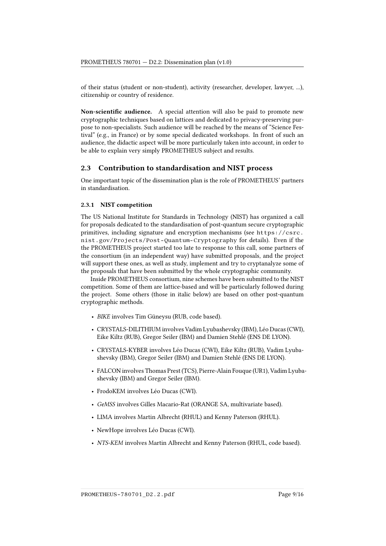of their status (student or non-student), activity (researcher, developer, lawyer, ...), citizenship or country of residence.

Non-scientific audience. A special attention will also be paid to promote new cryptographic techniques based on lattices and dedicated to privacy-preserving purpose to non-specialists. Such audience will be reached by the means of "Science Festival" (e.g., in France) or by some special dedicated workshops. In front of such an audience, the didactic aspect will be more particularly taken into account, in order to be able to explain very simply PROMETHEUS subject and results.

#### <span id="page-8-0"></span>2.3 Contribution to standardisation and NIST process

One important topic of the dissemination plan is the role of PROMETHEUS' partners in standardisation.

#### 2.3.1 NIST competition

The US National Institute for Standards in Technology (NIST) has organized a call for proposals dedicated to the standardisation of post-quantum secure cryptographic primitives, including signature and encryption mechanisms (see [https://csrc.](https://csrc.nist.gov/Projects/Post-Quantum-Cryptography) [nist.gov/Projects/Post-Quantum-Cryptography](https://csrc.nist.gov/Projects/Post-Quantum-Cryptography) for details). Even if the the PROMETHEUS project started too late to response to this call, some partners of the consortium (in an independent way) have submitted proposals, and the project will support these ones, as well as study, implement and try to cryptanalyze some of the proposals that have been submitted by the whole cryptographic community.

Inside PROMETHEUS consortium, nine schemes have been submitted to the NIST competition. Some of them are lattice-based and will be particularly followed during the project. Some others (those in italic below) are based on other post-quantum cryptographic methods.

- BIKE involves Tim Güneysu (RUB, code based).
- CRYSTALS-DILITHIUM involves Vadim Lyubashevsky (IBM), Léo Ducas (CWI), Eike Kiltz (RUB), Gregor Seiler (IBM) and Damien Stehlé (ENS DE LYON).
- CRYSTALS-KYBER involves Léo Ducas (CWI), Eike Kiltz (RUB), Vadim Lyubashevsky (IBM), Gregor Seiler (IBM) and Damien Stehlé (ENS DE LYON).
- FALCON involves Thomas Prest (TCS), Pierre-Alain Fouque (UR1), Vadim Lyubashevsky (IBM) and Gregor Seiler (IBM).
- FrodoKEM involves Léo Ducas (CWI).
- GeMSS involves Gilles Macario-Rat (ORANGE SA, multivariate based).
- LIMA involves Martin Albrecht (RHUL) and Kenny Paterson (RHUL).
- NewHope involves Léo Ducas (CWI).
- NTS-KEM involves Martin Albrecht and Kenny Paterson (RHUL, code based).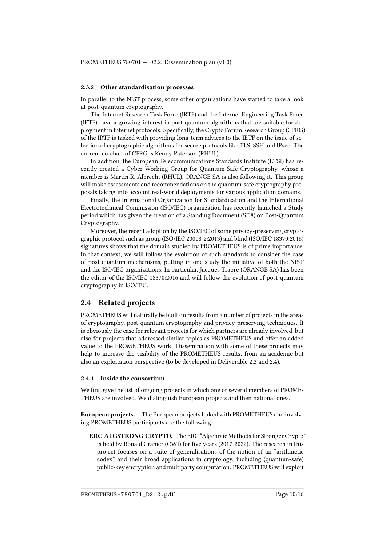#### 2.3.2 Other standardisation processes

In parallel to the NIST process, some other organisations have started to take a look at post-quantum cryptography.

The Internet Research Task Force (IRTF) and the Internet Engineering Task Force (IETF) have a growing interest in post-quantum algorithms that are suitable for deployment in Internet protocols. Specifically, the Crypto Forum Research Group (CFRG) of the IRTF is tasked with providing long-term advices to the IETF on the issue of selection of cryptographic algorithms for secure protocols like TLS, SSH and IPsec. The current co-chair of CFRG is Kenny Paterson (RHUL).

In addition, the European Telecommunications Standards Institute (ETSI) has recently created a Cyber Working Group for Quantum-Safe Cryptography, whose a member is Martin R. Albrecht (RHUL). ORANGE SA is also following it. This group will make assessments and recommendations on the quantum-safe cryptography proposals taking into account real-world deployments for various application domains.

Finally, the International Organization for Standardization and the International Electrotechnical Commission (ISO/IEC) organization has recently launched a Study period which has given the creation of a Standing Document (SD8) on Post-Quantum Cryptography.

Moreover, the recent adoption by the ISO/IEC of some privacy-preserving cryptographic protocol such as group (ISO/IEC 20008-2:2013) and blind (ISO/IEC 18370:2016) signatures shows that the domain studied by PROMETHEUS is of prime importance. In that context, we will follow the evolution of such standards to consider the case of post-quantum mechanisms, putting in one study the initiative of both the NIST and the ISO/IEC organizations. In particular, Jacques Traoré (ORANGE SA) has been the editor of the ISO/IEC 18370:2016 and will follow the evolution of post-quantum cryptography in ISO/IEC.

### <span id="page-9-0"></span>2.4 Related projects

PROMETHEUS will naturally be built on results from a number of projects in the areas of cryptography, post-quantum cryptography and privacy-preserving techniques. It is obviously the case for relevant projects for which partners are already involved, but also for projects that addressed similar topics as PROMETHEUS and offer an added value to the PROMETHEUS work. Dissemination with some of these projects may help to increase the visibility of the PROMETHEUS results, from an academic but also an exploitation perspective (to be developed in Deliverable 2.3 and 2.4).

#### 2.4.1 Inside the consortium

We first give the list of ongoing projects in which one or several members of PROME-THEUS are involved. We distinguish European projects and then national ones.

European projects. The European projects linked with PROMETHEUS and involving PROMETHEUS participants are the following.

ERC ALGSTRONG CRYPTO. The ERC "Algebraic Methods for Stronger Crypto" is held by Ronald Cramer (CWI) for five years (2017-2022). The research in this project focuses on a suite of generalisations of the notion of an "arithmetic codex" and their broad applications in cryptology, including (quantum-safe) public-key encryption and multiparty computation. PROMETHEUS will exploit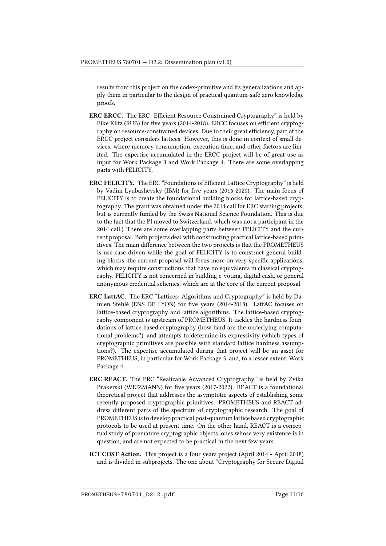results from this project on the codex-primitive and its generalizations and apply them in particular to the design of practical quantum-safe zero knowledge proofs.

- ERC ERCC. The ERC "Efficient Resource Constrained Cryptography" is held by Eike Kiltz (RUB) for five years (2014-2018). ERCC focuses on efficient cryptography on resource-constrained devices. Due to their great efficiency, part of the ERCC project considers lattices. However, this is done in context of small devices, where memory consumption, execution time, and other factors are limited. The expertise accumulated in the ERCC project will be of great use as input for Work Package 3 and Work Package 4. There are some overlapping parts with FELICITY.
- ERC FELICITY. The ERC "Foundations of Efficient Lattice Cryptography" is held by Vadim Lyubashevsky (IBM) for five years (2016-2020). The main focus of FELICITY is to create the foundational building blocks for lattice-based cryptography. The grant was obtained under the 2014 call for ERC starting projects, but is currently funded by the Swiss National Science Foundation. This is due to the fact that the PI moved to Switzerland, which was not a participant in the 2014 call.) There are some overlapping parts between FELICITY and the current proposal. Both projects deal with constructing practical lattice-based primitives. The main difference between the two projects is that the PROMETHEUS is use-case driven while the goal of FELICITY is to construct general building blocks, the current proposal will focus more on very specific applications, which may require constructions that have no equivalents in classical cryptography. FELICITY is not concerned in building e-voting, digital cash, or general anonymous credential schemes, which are at the core of the current proposal.
- ERC LattAC. The ERC "Lattices: Algorithms and Cryptography" is held by Damien Stehlé (ENS DE LYON) for five years (2014-2018). LattAC focuses on lattice-based cryptography and lattice algorithms. The lattice-based cryptography component is upstream of PROMETHEUS. It tackles the hardness foundations of lattice based cryptography (how hard are the underlying computational problems?) and attempts to determine its expressivity (which types of cryptographic primitives are possible with standard lattice hardness assumptions?). The expertise accumulated during that project will be an asset for PROMETHEUS, in particular for Work Package 3, and, to a lesser extent, Work Package 4.
- ERC REACT. The ERC "Realizable Advanced Cryptography" is held by Zvika Brakerski (WEIZMANN) for five years (2017-2022). REACT is a foundational theoretical project that addresses the asymptotic aspects of establishing some recently proposed cryptographic primitives. PROMETHEUS and REACT address different parts of the spectrum of cryptographic research. The goal of PROMETHEUS is to develop practical post-quantum lattice based cryptographic protocols to be used at present time. On the other hand, REACT is a conceptual study of premature cryptographic objects, ones whose very existence is in question, and are not expected to be practical in the next few years.
- ICT COST Action. This project is a four years project (April 2014 April 2018) and is divided in subprojects. The one about "Cryptography for Secure Digital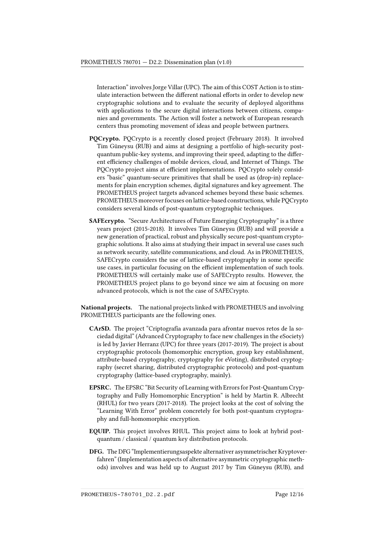Interaction" involves Jorge Villar (UPC). The aim of this COST Action is to stimulate interaction between the different national efforts in order to develop new cryptographic solutions and to evaluate the security of deployed algorithms with applications to the secure digital interactions between citizens, companies and governments. The Action will foster a network of European research centers thus promoting movement of ideas and people between partners.

- PQCrypto. PQCrypto is a recently closed project (February 2018). It involved Tim Güneysu (RUB) and aims at designing a portfolio of high-security postquantum public-key systems, and improving their speed, adapting to the different efficiency challenges of mobile devices, cloud, and Internet of Things. The PQCrypto project aims at efficient implementations. PQCrypto solely considers "basic" quantum-secure primitives that shall be used as (drop-in) replacements for plain encryption schemes, digital signatures and key agreement. The PROMETHEUS project targets advanced schemes beyond these basic schemes. PROMETHEUS moreover focuses on lattice-based constructions, while PQCrypto considers several kinds of post-quantum cryptographic techniques.
- SAFEcrypto. "Secure Architectures of Future Emerging Cryptography" is a three years project (2015-2018). It involves Tim Güneysu (RUB) and will provide a new generation of practical, robust and physically secure post-quantum cryptographic solutions. It also aims at studying their impact in several use cases such as network security, satellite communications, and cloud. As in PROMETHEUS, SAFECrypto considers the use of lattice-based cryptography in some specific use cases, in particular focusing on the efficient implementation of such tools. PROMETHEUS will certainly make use of SAFECrypto results. However, the PROMETHEUS project plans to go beyond since we aim at focusing on more advanced protocols, which is not the case of SAFECrypto.

National projects. The national projects linked with PROMETHEUS and involving PROMETHEUS participants are the following ones.

- CArSD. The project "Criptografía avanzada para afrontar nuevos retos de la sociedad digital" (Advanced Cryptography to face new challenges in the eSociety) is led by Javier Herranz (UPC) for three years (2017-2019). The project is about cryptographic protocols (homomorphic encryption, group key establishment, attribute-based cryptography, cryptography for eVoting), distributed cryptography (secret sharing, distributed cryptographic protocols) and post-quantum cryptography (lattice-based cryptography, mainly).
- EPSRC. The EPSRC "Bit Security of Learning with Errors for Post-Quantum Cryptography and Fully Homomorphic Encryption" is held by Martin R. Albrecht (RHUL) for two years (2017-2018). The project looks at the cost of solving the "Learning With Error" problem concretely for both post-quantum cryptography and full-homomorphic encryption.
- EQUIP. This project involves RHUL. This project aims to look at hybrid postquantum / classical / quantum key distribution protocols.
- DFG. The DFG "Implementierungsaspekte alternativer asymmetrischer Kryptoverfahren" (Implementation aspects of alternative asymmetric cryptographic methods) involves and was held up to August 2017 by Tim Güneysu (RUB), and

PROMETHEUS-780701\_D2.2.pdf Page 12/16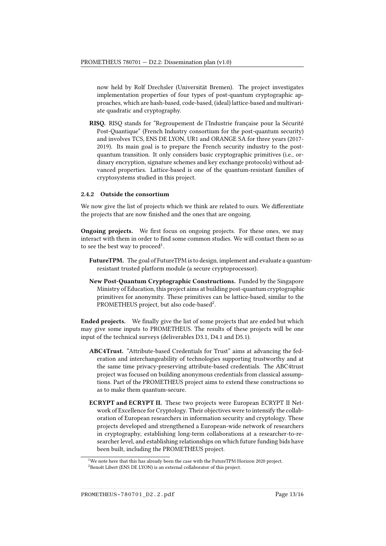now held by Rolf Drechsler (Universität Bremen). The project investigates implementation properties of four types of post-quantum cryptographic approaches, which are hash-based, code-based, (ideal) lattice-based and multivariate quadratic and cryptography.

RISQ. RISQ stands for "Regroupement de l'Industrie française pour la Sécurité Post-Quantique" (French Industry consortium for the post-quantum security) and involves TCS, ENS DE LYON, UR1 and ORANGE SA for three years (2017- 2019). Its main goal is to prepare the French security industry to the postquantum transition. It only considers basic cryptographic primitives (i.e., ordinary encryption, signature schemes and key exchange protocols) without advanced properties. Lattice-based is one of the quantum-resistant families of cryptosystems studied in this project.

#### 2.4.2 Outside the consortium

We now give the list of projects which we think are related to ours. We differentiate the projects that are now finished and the ones that are ongoing.

**Ongoing projects.** We first focus on ongoing projects. For these ones, we may interact with them in order to find some common studies. We will contact them so as to see the best way to proceed<sup>[1](#page-12-0)</sup>.

- FutureTPM. The goal of FutureTPM is to design, implement and evaluate a quantumresistant trusted platform module (a secure cryptoprocessor).
- New Post-Quantum Cryptographic Constructions. Funded by the Singapore Ministry of Education, this project aims at building post-quantum cryptographic primitives for anonymity. These primitives can be lattice-based, similar to the PROMETHEUS project, but also code-based<sup>[2](#page-12-1)</sup>.

**Ended projects.** We finally give the list of some projects that are ended but which may give some inputs to PROMETHEUS. The results of these projects will be one input of the technical surveys (deliverables D3.1, D4.1 and D5.1).

- ABC4Trust. "Attribute-based Credentials for Trust" aims at advancing the federation and interchangeability of technologies supporting trustworthy and at the same time privacy-preserving attribute-based credentials. The ABC4trust project was focused on building anonymous credentials from classical assumptions. Part of the PROMETHEUS project aims to extend these constructions so as to make them quantum-secure.
- ECRYPT and ECRYPT II. These two projects were European ECRYPT II Network of Excellence for Cryptology. Their objectives were to intensify the collaboration of European researchers in information security and cryptology. These projects developed and strengthened a European-wide network of researchers in cryptography, establishing long-term collaborations at a researcher-to-researcher level, and establishing relationships on which future funding bids have been built, including the PROMETHEUS project.

<span id="page-12-1"></span><span id="page-12-0"></span> $1$ We note here that this has already been the case with the FutureTPM Horizon 2020 project. <sup>2</sup>Benoît Libert (ENS DE LYON) is an external collaborator of this project.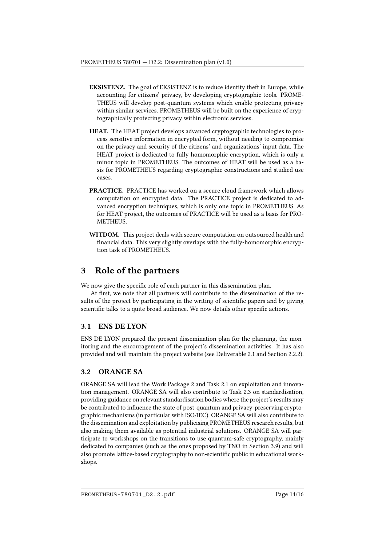- EKSISTENZ. The goal of EKSISTENZ is to reduce identity theft in Europe, while accounting for citizens' privacy, by developing cryptographic tools. PROME-THEUS will develop post-quantum systems which enable protecting privacy within similar services. PROMETHEUS will be built on the experience of cryptographically protecting privacy within electronic services.
- HEAT. The HEAT project develops advanced cryptographic technologies to process sensitive information in encrypted form, without needing to compromise on the privacy and security of the citizens' and organizations' input data. The HEAT project is dedicated to fully homomorphic encryption, which is only a minor topic in PROMETHEUS. The outcomes of HEAT will be used as a basis for PROMETHEUS regarding cryptographic constructions and studied use cases.
- PRACTICE. PRACTICE has worked on a secure cloud framework which allows computation on encrypted data. The PRACTICE project is dedicated to advanced encryption techniques, which is only one topic in PROMETHEUS. As for HEAT project, the outcomes of PRACTICE will be used as a basis for PRO-METHEUS.
- WITDOM. This project deals with secure computation on outsourced health and nancial data. This very slightly overlaps with the fully-homomorphic encryption task of PROMETHEUS.

# <span id="page-13-0"></span>3 Role of the partners

We now give the specific role of each partner in this dissemination plan.

At first, we note that all partners will contribute to the dissemination of the results of the project by participating in the writing of scientific papers and by giving scientific talks to a quite broad audience. We now details other specific actions.

### <span id="page-13-1"></span>3.1 ENS DE LYON

ENS DE LYON prepared the present dissemination plan for the planning, the monitoring and the encouragement of the project's dissemination activities. It has also provided and will maintain the project website (see Deliverable 2.1 and Section [2.2.2\)](#page-7-0).

# <span id="page-13-2"></span>3.2 ORANGE SA

ORANGE SA will lead the Work Package 2 and Task 2.1 on exploitation and innovation management. ORANGE SA will also contribute to Task 2.3 on standardisation, providing guidance on relevant standardisation bodies where the project's results may be contributed to influence the state of post-quantum and privacy-preserving cryptographic mechanisms (in particular with ISO/IEC). ORANGE SA will also contribute to the dissemination and exploitation by publicising PROMETHEUS research results, but also making them available as potential industrial solutions. ORANGE SA will participate to workshops on the transitions to use quantum-safe cryptography, mainly dedicated to companies (such as the ones proposed by TNO in Section [3.9\)](#page-14-6) and will also promote lattice-based cryptography to non-scientific public in educational workshops.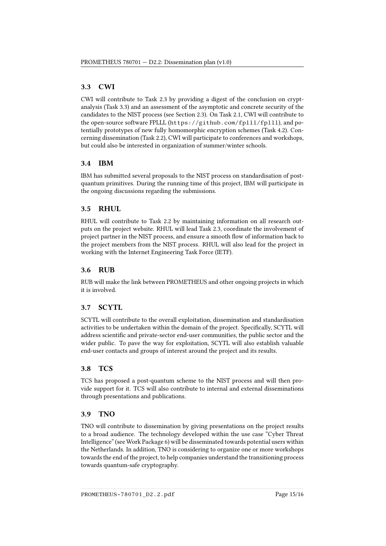# <span id="page-14-0"></span>3.3 CWI

CWI will contribute to Task 2.3 by providing a digest of the conclusion on cryptanalysis (Task 3.3) and an assessment of the asymptotic and concrete security of the candidates to the NIST process (see Section [2.3\)](#page-8-0). On Task 2.1, CWI will contribute to the open-source software FPLLL (<https://github.com/fplll/fplll>), and potentially prototypes of new fully homomorphic encryption schemes (Task 4.2). Concerning dissemination (Task 2.2), CWI will participate to conferences and workshops, but could also be interested in organization of summer/winter schools.

## <span id="page-14-1"></span>3.4 IBM

IBM has submitted several proposals to the NIST process on standardisation of postquantum primitives. During the running time of this project, IBM will participate in the ongoing discussions regarding the submissions.

# <span id="page-14-2"></span>3.5 RHUL

RHUL will contribute to Task 2.2 by maintaining information on all research outputs on the project website. RHUL will lead Task 2.3, coordinate the involvement of project partner in the NIST process, and ensure a smooth flow of information back to the project members from the NIST process. RHUL will also lead for the project in working with the Internet Engineering Task Force (IETF).

# <span id="page-14-3"></span>3.6 RUB

RUB will make the link between PROMETHEUS and other ongoing projects in which it is involved.

# <span id="page-14-4"></span>3.7 SCYTL

SCYTL will contribute to the overall exploitation, dissemination and standardisation activities to be undertaken within the domain of the project. Specifically, SCYTL will address scientific and private-sector end-user communities, the public sector and the wider public. To pave the way for exploitation, SCYTL will also establish valuable end-user contacts and groups of interest around the project and its results.

# <span id="page-14-5"></span>3.8 TCS

TCS has proposed a post-quantum scheme to the NIST process and will then provide support for it. TCS will also contribute to internal and external disseminations through presentations and publications.

# <span id="page-14-6"></span>3.9 TNO

TNO will contribute to dissemination by giving presentations on the project results to a broad audience. The technology developed within the use case "Cyber Threat Intelligence" (see Work Package 6) will be disseminated towards potential users within the Netherlands. In addition, TNO is considering to organize one or more workshops towards the end of the project, to help companies understand the transitioning process towards quantum-safe cryptography.